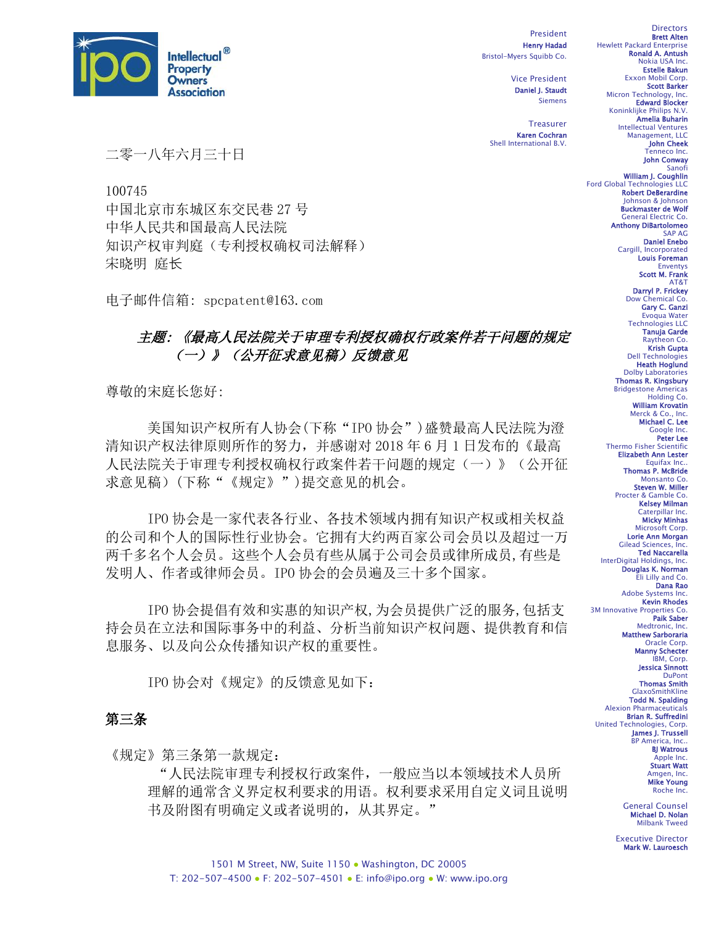

100745

宋晓明 庭长

二零一八年六月三十日

中国北京市东城区东交民巷 27 号 中华人民共和国最高人民法院

电子邮件信箱: spcpatent@163.com

知识产权审判庭(专利授权确权司法解释)

President Henry Hadad Bristol-Myers Squibb Co.

> Vice President Daniel J. Staudt Siemens

**Treasurer** Karen Cochran Shell International B.V.

Brett Alten Hewlett Packard Enterprise Ronald A. Antush Nokia USA Inc. Estelle Bakun Exxon Mobil Corp. Scott Barker

**Directors** 

Micron Technology, Inc.<br>**Edward Blocker** Koninklijke Philips N.V. Amelia Buharin Intellectual Ventures

Management, LLC John Cheek Tenneco Inc.

> John Conway Sanofi

William J. Coughlin Ford Global Technologies LLC Robert DeBerardine Johnson & Johnson Buckmaster de Wolf General Electric Co. Anthony DiBartolomeo

SAP AG Daniel Enebo Cargill, Incorporated Louis Foreman Enventys

Scott M. Frank AT&T

Darryl P. Frickey **hemical Co.** Gary C. Ganzi Evoqua Water

Technologies LLC Tanuja Garde Raytheon Co. Krish Gupta Dell Technologies Heath Hoglund Dolby Laboratories Thomas R. Kingsbury Bridgestone Americas Holding Co. William Krovatin Merck & Co., Inc. Michael C. Lee Google Inc. Peter Lee

Thermo Fisher Scientific Elizabeth Ann Lester Equifax In **Thomas P. McBride**<br>Monsanto Co. Steven W. Miller Procter & Gamble Co. Kelsey Milman Caterpillar Inc. Micky Minhas Microsoft Corp. Lorie Ann Morgan Gilead Sciences, Inc. Ted Naccarella InterDigital Holdings, Inc. Douglas K. Norman Eli Lilly and Co. Dana Rao Adobe Systems Inc. Kevin Rhodes

3M Innovative Properties Co. Paik Saber

Medtronic, Inc.

# 主题: 《最高人民法院关于审理专利授权确权行政案件若干问题的规定 (一)》(公开征求意见稿)反馈意见

尊敬的宋庭长您好:

美国知识产权所有人协会(下称"IPO 协会")盛赞最高人民法院为澄 清知识产权法律原则所作的努力,并感谢对 2018 年 6 月 1 日发布的《最高 人民法院关于审理专利授权确权行政案件若干问题的规定(一)》(公开征 求意见稿)(下称"《规定》")提交意见的机会。

IPO 协会是一家代表各行业、各技术领域内拥有知识产权或相关权益 的公司和个人的国际性行业协会。它拥有大约两百家公司会员以及超过一万 两千多名个人会员。这些个人会员有些从属于公司会员或律所成员,有些是 发明人、作者或律师会员。IPO 协会的会员遍及三十多个国家。

IPO 协会提倡有效和实惠的知识产权,为会员提供广泛的服务,包括支 持会员在立法和国际事务中的利益、分析当前知识产权问题、提供教育和信 息服务、以及向公众传播知识产权的重要性。

IPO 协会对《规定》的反馈意见如下:

# 第三条

《规定》第三条第一款规定:

"人民法院审理专利授权行政案件,一般应当以本领域技术人员所 理解的通常含义界定权利要求的用语。权利要求采用自定义词且说明 书及附图有明确定义或者说明的,从其界定。"

Matthew Sarboraria Oracle Corp. Manny Schecter IBM, Corp. Jessica Sinnott **DuPont** Thomas Smith GlaxoSmithKline Todd N. Spalding Alexion Pharmaceuticals Brian R. Suffredini United Technologies, Corp. James J. Trussell BP America, Inc.. BJ Watrous Apple Inc. Stuart Watt Amgen, Inc. Mike Young Roche Inc. General Counsel Michael D. Nolan Milbank Tweed

> Executive Director Mark W. Lauroesch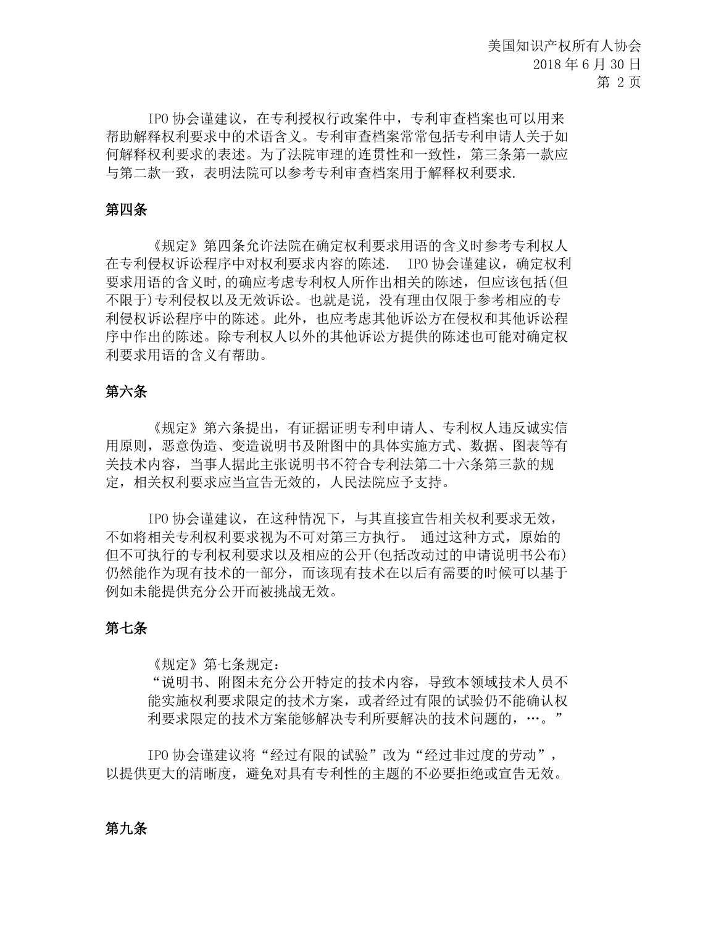IPO 协会谨建议,在专利授权行政案件中,专利审查档案也可以用来 帮助解释权利要求中的术语含义。专利审查档案常常包括专利申请人关于如 何解释权利要求的表述。为了法院审理的连贯性和一致性,第三条第一款应 与第二款一致,表明法院可以参考专利审查档案用于解释权利要求.

## 第四条

《规定》第四条允许法院在确定权利要求用语的含义时参考专利权人 在专利侵权诉讼程序中对权利要求内容的陈述. IPO 协会谨建议,确定权利 要求用语的含义时,的确应考虑专利权人所作出相关的陈述,但应该包括(但 不限于)专利侵权以及无效诉讼。也就是说,没有理由仅限于参考相应的专 利侵权诉讼程序中的陈述。此外,也应考虑其他诉讼方在侵权和其他诉讼程 序中作出的陈述。除专利权人以外的其他诉讼方提供的陈述也可能对确定权 利要求用语的含义有帮助。

## 第六条

《规定》第六条提出,有证据证明专利申请人、专利权人违反诚实信 用原则,恶意伪造、变造说明书及附图中的具体实施方式、数据、图表等有 关技术内容,当事人据此主张说明书不符合专利法第二十六条第三款的规 定,相关权利要求应当宣告无效的,人民法院应予支持。

IPO 协会谨建议,在这种情况下,与其直接宣告相关权利要求无效, 不如将相关专利权利要求视为不可对第三方执行。 通过这种方式,原始的 但不可执行的专利权利要求以及相应的公开(包括改动过的申请说明书公布) 仍然能作为现有技术的一部分,而该现有技术在以后有需要的时候可以基于 例如未能提供充分公开而被挑战无效。

#### 第七条

《规定》第七条规定:

"说明书、附图未充分公开特定的技术内容,导致本领域技术人员不 能实施权利要求限定的技术方案,或者经过有限的试验仍不能确认权 利要求限定的技术方案能够解决专利所要解决的技术问题的,…。"

IPO 协会谨建议将"经过有限的试验"改为"经过非过度的劳动", 以提供更大的清晰度,避免对具有专利性的主题的不必要拒绝或宣告无效。

## 第九条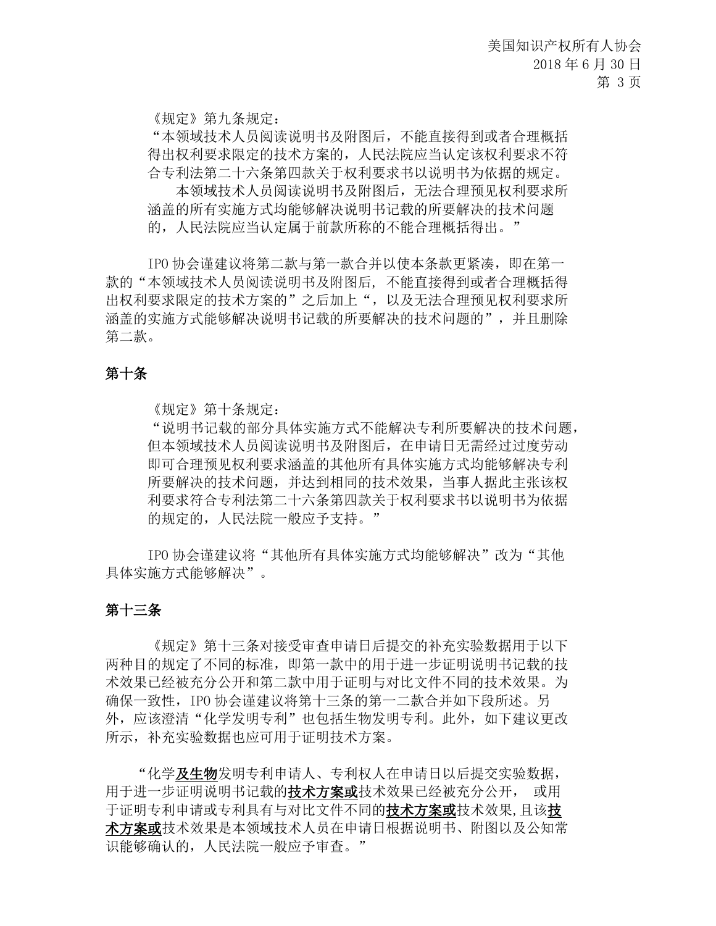《规定》第九条规定:

"本领域技术人员阅读说明书及附图后,不能直接得到或者合理概括 得出权利要求限定的技术方案的,人民法院应当认定该权利要求不符 合专利法第二十六条第四款关于权利要求书以说明书为依据的规定。

 本领域技术人员阅读说明书及附图后,无法合理预见权利要求所 涵盖的所有实施方式均能够解决说明书记载的所要解决的技术问题 的,人民法院应当认定属于前款所称的不能合理概括得出。"

IPO 协会谨建议将第二款与第一款合并以使本条款更紧凑,即在第一 款的"本领域技术人员阅读说明书及附图后, 不能直接得到或者合理概括得 出权利要求限定的技术方案的"之后加上",以及无法合理预见权利要求所 涵盖的实施方式能够解决说明书记载的所要解决的技术问题的",并且删除 第二款。

## 第十条

《规定》第十条规定:

"说明书记载的部分具体实施方式不能解决专利所要解决的技术问题, 但本领域技术人员阅读说明书及附图后,在申请日无需经过过度劳动 即可合理预见权利要求涵盖的其他所有具体实施方式均能够解决专利 所要解决的技术问题,并达到相同的技术效果,当事人据此主张该权 利要求符合专利法第二十六条第四款关于权利要求书以说明书为依据 的规定的,人民法院一般应予支持。"

IPO 协会谨建议将"其他所有具体实施方式均能够解决"改为"其他 具体实施方式能够解决"。

#### 第十三条

《规定》第十三条对接受审查申请日后提交的补充实验数据用于以下 两种目的规定了不同的标准,即第一款中的用于进一步证明说明书记载的技 术效果已经被充分公开和第二款中用于证明与对比文件不同的技术效果。为 确保一致性,IPO 协会谨建议将第十三条的第一二款合并如下段所述。另 外,应该澄清"化学发明专利"也包括生物发明专利。此外,如下建议更改 所示,补充实验数据也应可用于证明技术方案。

 "化学及生物发明专利申请人、专利权人在申请日以后提交实验数据, 用于进一步证明说明书记载的**技术方案或**技术效果已经被充分公开, 或用 于证明专利申请或专利具有与对比文件不同的**技术方案或**技术效果,且该**技** 术方案或技术效果是本领域技术人员在申请日根据说明书、附图以及公知常 识能够确认的,人民法院一般应予审查。"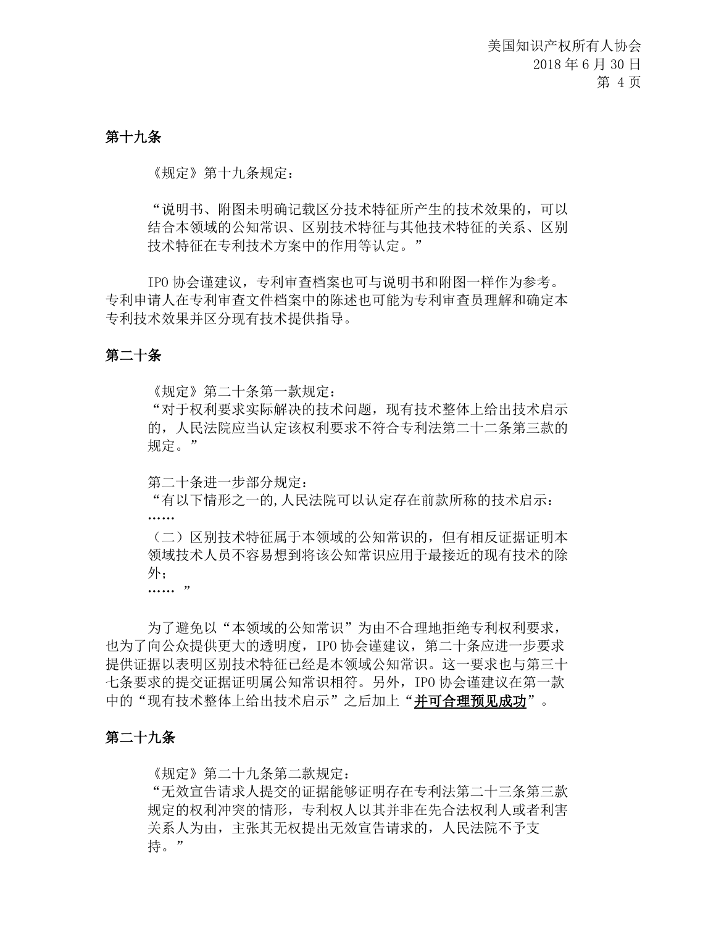## 第十九条

《规定》第十九条规定:

"说明书、附图未明确记载区分技术特征所产生的技术效果的,可以 结合本领域的公知常识、区别技术特征与其他技术特征的关系、区别 技术特征在专利技术方案中的作用等认定。"

IPO 协会谨建议,专利审查档案也可与说明书和附图一样作为参考。 专利申请人在专利审查文件档案中的陈述也可能为专利审查员理解和确定本 专利技术效果并区分现有技术提供指导。

## 第二十条

《规定》第二十条第一款规定:

"对于权利要求实际解决的技术问题,现有技术整体上给出技术启示 的,人民法院应当认定该权利要求不符合专利法第二十二条第三款的 规定。"

第二十条进一步部分规定:

"有以下情形之一的,人民法院可以认定存在前款所称的技术启示: ……

(二)区别技术特征属于本领域的公知常识的,但有相反证据证明本 领域技术人员不容易想到将该公知常识应用于最接近的现有技术的除 外;

 $\cdots$  "

为了避免以"本领域的公知常识"为由不合理地拒绝专利权利要求, 也为了向公众提供更大的透明度,IPO 协会谨建议,第二十条应进一步要求 提供证据以表明区别技术特征已经是本领域公知常识。这一要求也与第三十 七条要求的提交证据证明属公知常识相符。另外,IPO 协会谨建议在第一款 中的"现有技术整体上给出技术启示"之后加上"并可合理预见成功"。

#### 第二十九条

《规定》第二十九条第二款规定:

"无效宣告请求人提交的证据能够证明存在专利法第二十三条第三款 规定的权利冲突的情形,专利权人以其并非在先合法权利人或者利害 关系人为由,主张其无权提出无效宣告请求的,人民法院不予支 持。"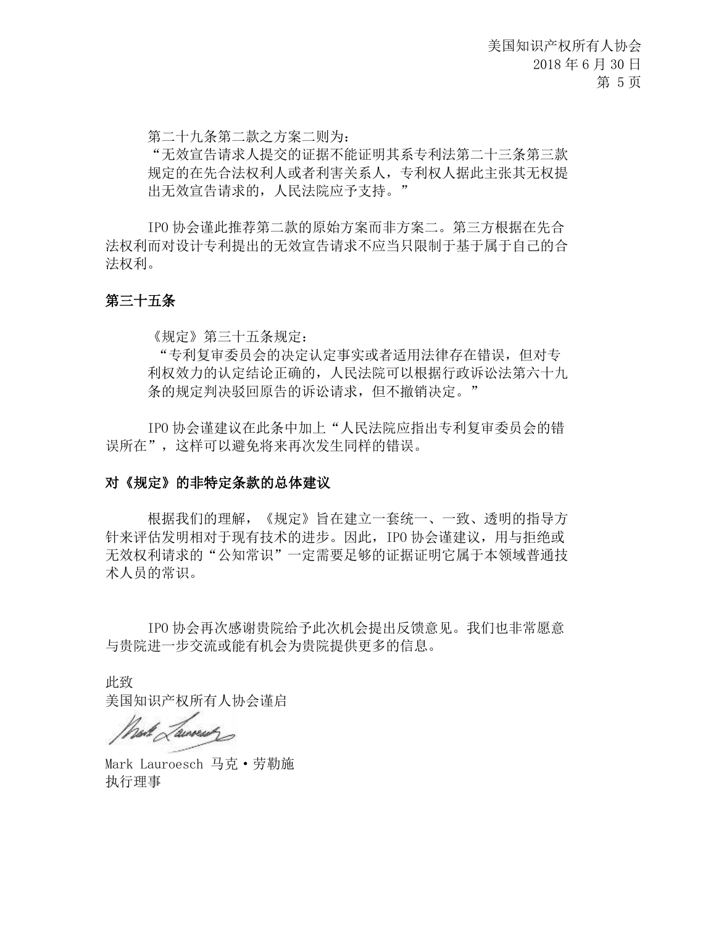第二十九条第二款之方案二则为:

"无效宣告请求人提交的证据不能证明其系专利法第二十三条第三款 规定的在先合法权利人或者利害关系人,专利权人据此主张其无权提 出无效宣告请求的,人民法院应予支持。"

IPO 协会谨此推荐第二款的原始方案而非方案二。第三方根据在先合 法权利而对设计专利提出的无效宣告请求不应当只限制于基于属于自己的合 法权利。

## 第三十五条

《规定》第三十五条规定:

"专利复审委员会的决定认定事实或者适用法律存在错误,但对专 利权效力的认定结论正确的,人民法院可以根据行政诉讼法第六十九 条的规定判决驳回原告的诉讼请求,但不撤销决定。"

IPO 协会谨建议在此条中加上"人民法院应指出专利复审委员会的错 误所在",这样可以避免将来再次发生同样的错误。

## 对《规定》的非特定条款的总体建议

根据我们的理解,《规定》旨在建立一套统一、一致、透明的指导方 针来评估发明相对于现有技术的进步。因此, IPO 协会谨建议, 用与拒绝或 无效权利请求的"公知常识"一定需要足够的证据证明它属于本领域普通技 术人员的常识。

IPO 协会再次感谢贵院给予此次机会提出反馈意见。我们也非常愿意 与贵院进一步交流或能有机会为贵院提供更多的信息。

此致

美国知识产权所有人协会谨启

had Lawent

Mark Lauroesch 马克·劳勒施 执行理事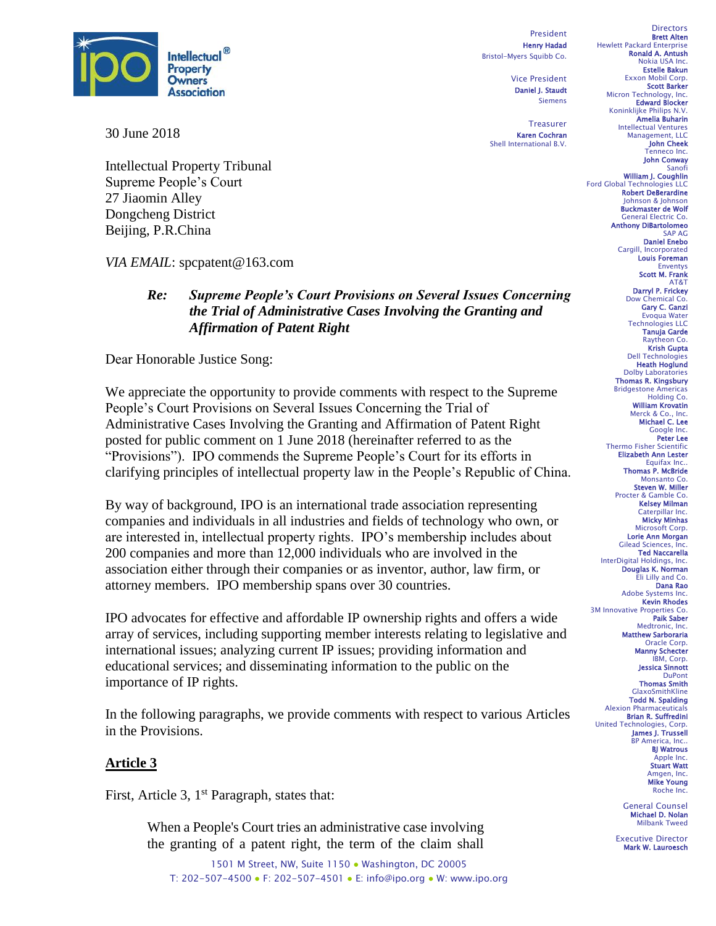

30 June 2018

Intellectual Property Tribunal Supreme People's Court 27 Jiaomin Alley Dongcheng District Beijing, P.R.China

*VIA EMAIL*: spcpatent@163.com

## *Re: Supreme People's Court Provisions on Several Issues Concerning the Trial of Administrative Cases Involving the Granting and Affirmation of Patent Right*

Dear Honorable Justice Song:

We appreciate the opportunity to provide comments with respect to the Supreme People's Court Provisions on Several Issues Concerning the Trial of Administrative Cases Involving the Granting and Affirmation of Patent Right posted for public comment on 1 June 2018 (hereinafter referred to as the "Provisions"). IPO commends the Supreme People's Court for its efforts in clarifying principles of intellectual property law in the People's Republic of China.

By way of background, IPO is an international trade association representing companies and individuals in all industries and fields of technology who own, or are interested in, intellectual property rights. IPO's membership includes about 200 companies and more than 12,000 individuals who are involved in the association either through their companies or as inventor, author, law firm, or attorney members. IPO membership spans over 30 countries.

IPO advocates for effective and affordable IP ownership rights and offers a wide array of services, including supporting member interests relating to legislative and international issues; analyzing current IP issues; providing information and educational services; and disseminating information to the public on the importance of IP rights.

In the following paragraphs, we provide comments with respect to various Articles in the Provisions.

## **Article 3**

First, Article 3, 1<sup>st</sup> Paragraph, states that:

When a People's Court tries an administrative case involving the granting of a patent right, the term of the claim shall

1501 M Street, NW, Suite 1150 · Washington, DC 20005 T: 202-507-4500 ● F: 202-507-4501 ● E: info@ipo.org ● W: www.ipo.org

President Henry Hadad Bristol-Myers Squibb Co.

> Vice President Daniel J. Staudt Siemens

Treasurer Karen Cochran Shell International B.V.

**Directors** Brett Alten Hewlett Packard Enterprise Ronald A. Antush Nokia USA Inc. Estelle Bakun Exxon Mobil Corp. Scott Barker Micron Technology, Inc.<br>**Edward Blocker** Koninklijke Philips N.V. Amelia Buharin Intellectual Ventures Management, LLC John Cheek Tenneco Inc. John Conway Sanofi William J. Coughlin Ford Global Technologies LLC Robert DeBerardine Johnson & Johnson Buckmaster de Wolf General Electric Co. Anthony DiBartolomeo SAP AG Daniel Enebo Cargill, Incorporated Louis Foreman Enventys Scott M. Frank AT&T Darryl P. Frickey Dow Chemical Co. Gary C. Ganzi Evoqua Water Technologies LLC Tanuja Garde Raytheon Co. Krish Gupta Dell Technologies Heath Hoglund Dolby Laboratories Thomas R. Kingsbury Bridgestone Americas Holding Co. William Krovatin

Merck & Co., Inc.<br>**Michael C. Lee**<br>Google Inc. Peter Lee Thermo Fisher Scientific Elizabeth Ann Lester Equifax Inc. **Thomas P. McBride**<br>Monsanto Co. Steven W. Miller Procter & Gamble Co. Kelsey Milman Caterpillar Inc. Micky Minhas Microsoft Corp. Lorie Ann Morgan Gilead Sciences, Inc. Ted Naccarella InterDigital Holdings, Inc. Douglas K. Norman Eli Lilly and Co. Dana Rao Adobe Systems Inc. Kevin Rhodes 3M Innovative Properties Co. Paik Saber Medtronic, Inc. Matthew Sarboraria Oracle Corp. Manny Schecter IBM, Corp. Jessica Sinnott **DuPont** 

Thomas Smith GlaxoSmithKline Todd N. Spalding Alexion Pharmaceuticals Brian R. Suffredini United Technologies, Corp. James J. Trussell BP America, Inc.. BJ Watrous Apple Inc. Stuart Watt Amgen, Inc.<br>**Mike Young** Roche Inc.

> General Counsel Michael D. Nolan Milbank Tweed

Executive Director Mark W. Lauroesch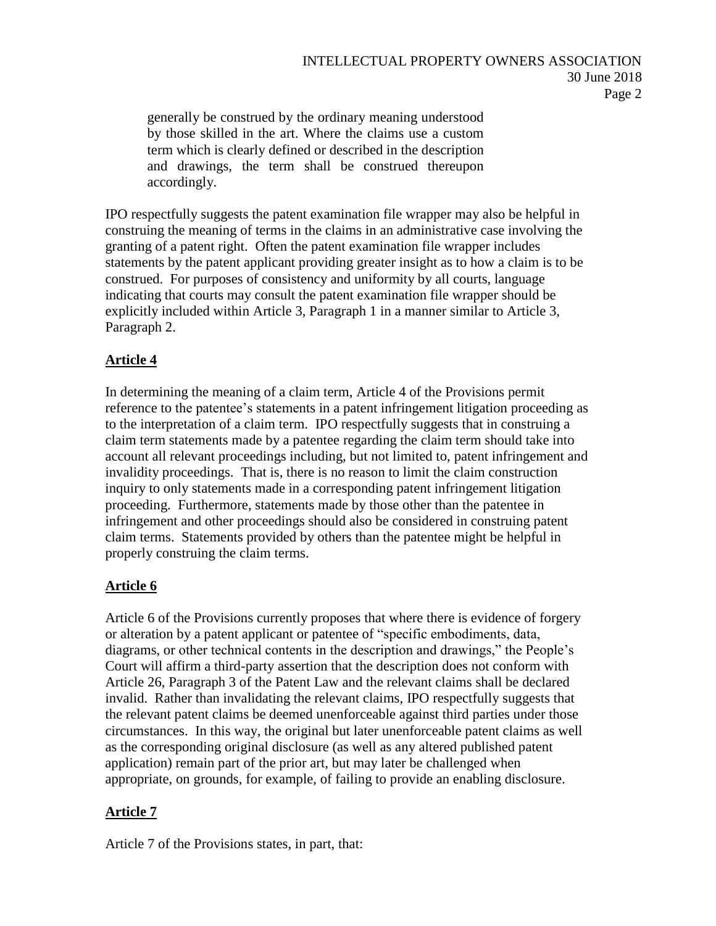generally be construed by the ordinary meaning understood by those skilled in the art. Where the claims use a custom term which is clearly defined or described in the description and drawings, the term shall be construed thereupon accordingly.

IPO respectfully suggests the patent examination file wrapper may also be helpful in construing the meaning of terms in the claims in an administrative case involving the granting of a patent right. Often the patent examination file wrapper includes statements by the patent applicant providing greater insight as to how a claim is to be construed. For purposes of consistency and uniformity by all courts, language indicating that courts may consult the patent examination file wrapper should be explicitly included within Article 3, Paragraph 1 in a manner similar to Article 3, Paragraph 2.

# **Article 4**

In determining the meaning of a claim term, Article 4 of the Provisions permit reference to the patentee's statements in a patent infringement litigation proceeding as to the interpretation of a claim term. IPO respectfully suggests that in construing a claim term statements made by a patentee regarding the claim term should take into account all relevant proceedings including, but not limited to, patent infringement and invalidity proceedings. That is, there is no reason to limit the claim construction inquiry to only statements made in a corresponding patent infringement litigation proceeding. Furthermore, statements made by those other than the patentee in infringement and other proceedings should also be considered in construing patent claim terms. Statements provided by others than the patentee might be helpful in properly construing the claim terms.

# **Article 6**

Article 6 of the Provisions currently proposes that where there is evidence of forgery or alteration by a patent applicant or patentee of "specific embodiments, data, diagrams, or other technical contents in the description and drawings," the People's Court will affirm a third-party assertion that the description does not conform with Article 26, Paragraph 3 of the Patent Law and the relevant claims shall be declared invalid. Rather than invalidating the relevant claims, IPO respectfully suggests that the relevant patent claims be deemed unenforceable against third parties under those circumstances. In this way, the original but later unenforceable patent claims as well as the corresponding original disclosure (as well as any altered published patent application) remain part of the prior art, but may later be challenged when appropriate, on grounds, for example, of failing to provide an enabling disclosure.

# **Article 7**

Article 7 of the Provisions states, in part, that: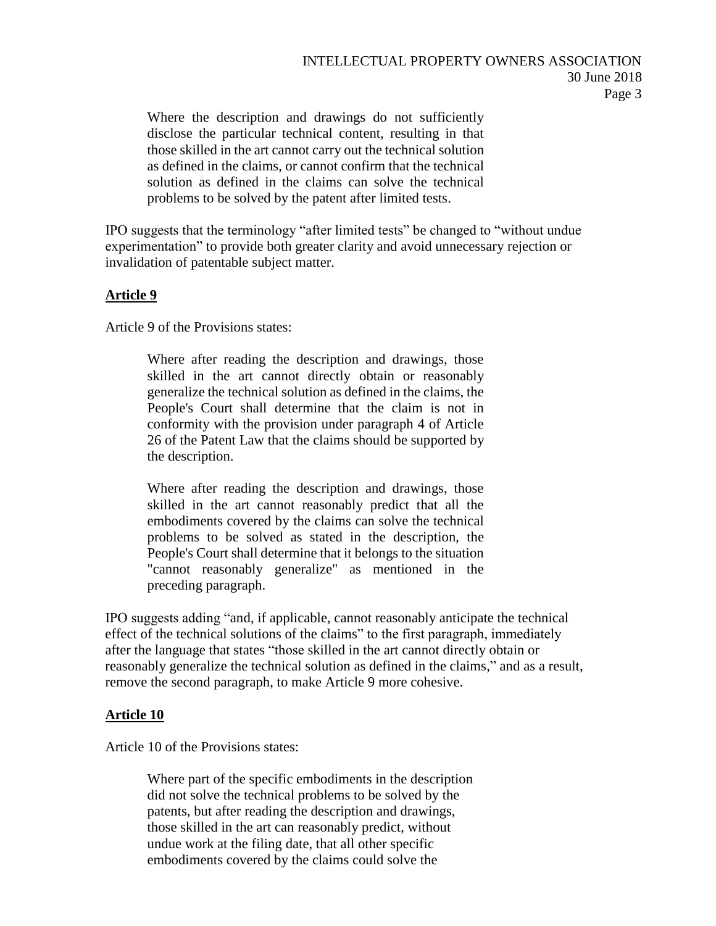Where the description and drawings do not sufficiently disclose the particular technical content, resulting in that those skilled in the art cannot carry out the technical solution as defined in the claims, or cannot confirm that the technical solution as defined in the claims can solve the technical problems to be solved by the patent after limited tests.

IPO suggests that the terminology "after limited tests" be changed to "without undue experimentation" to provide both greater clarity and avoid unnecessary rejection or invalidation of patentable subject matter.

## **Article 9**

Article 9 of the Provisions states:

Where after reading the description and drawings, those skilled in the art cannot directly obtain or reasonably generalize the technical solution as defined in the claims, the People's Court shall determine that the claim is not in conformity with the provision under paragraph 4 of Article 26 of the Patent Law that the claims should be supported by the description.

Where after reading the description and drawings, those skilled in the art cannot reasonably predict that all the embodiments covered by the claims can solve the technical problems to be solved as stated in the description, the People's Court shall determine that it belongs to the situation "cannot reasonably generalize" as mentioned in the preceding paragraph.

IPO suggests adding "and, if applicable, cannot reasonably anticipate the technical effect of the technical solutions of the claims" to the first paragraph, immediately after the language that states "those skilled in the art cannot directly obtain or reasonably generalize the technical solution as defined in the claims," and as a result, remove the second paragraph, to make Article 9 more cohesive.

#### **Article 10**

Article 10 of the Provisions states:

Where part of the specific embodiments in the description did not solve the technical problems to be solved by the patents, but after reading the description and drawings, those skilled in the art can reasonably predict, without undue work at the filing date, that all other specific embodiments covered by the claims could solve the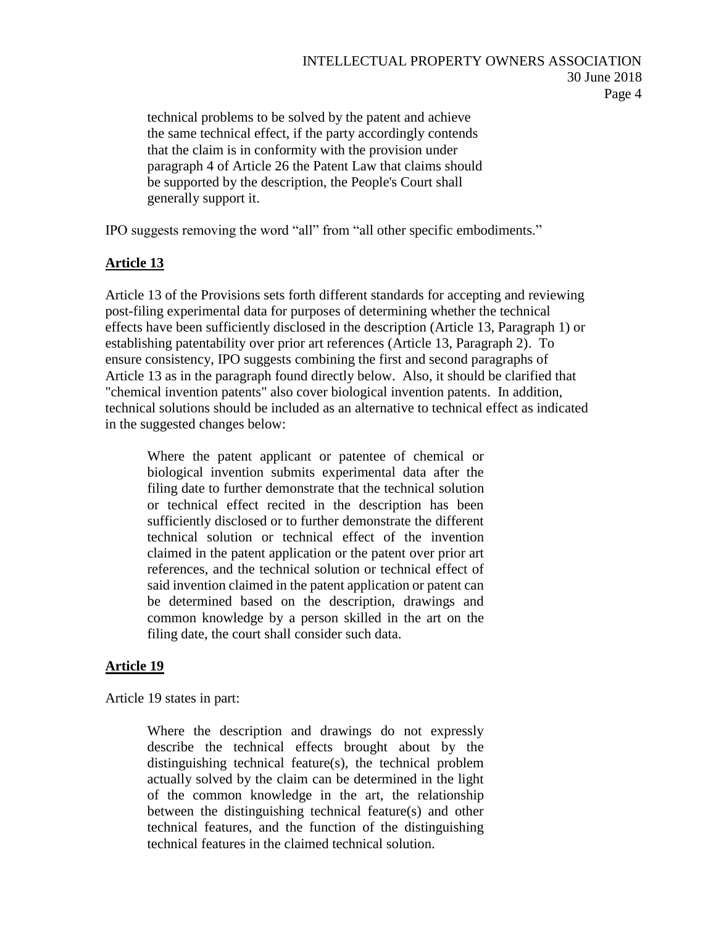## INTELLECTUAL PROPERTY OWNERS ASSOCIATION 30 June 2018 Page 4

technical problems to be solved by the patent and achieve the same technical effect, if the party accordingly contends that the claim is in conformity with the provision under paragraph 4 of Article 26 the Patent Law that claims should be supported by the description, the People's Court shall generally support it.

IPO suggests removing the word "all" from "all other specific embodiments."

## **Article 13**

Article 13 of the Provisions sets forth different standards for accepting and reviewing post-filing experimental data for purposes of determining whether the technical effects have been sufficiently disclosed in the description (Article 13, Paragraph 1) or establishing patentability over prior art references (Article 13, Paragraph 2). To ensure consistency, IPO suggests combining the first and second paragraphs of Article 13 as in the paragraph found directly below. Also, it should be clarified that "chemical invention patents" also cover biological invention patents. In addition, technical solutions should be included as an alternative to technical effect as indicated in the suggested changes below:

Where the patent applicant or patentee of chemical or biological invention submits experimental data after the filing date to further demonstrate that the technical solution or technical effect recited in the description has been sufficiently disclosed or to further demonstrate the different technical solution or technical effect of the invention claimed in the patent application or the patent over prior art references, and the technical solution or technical effect of said invention claimed in the patent application or patent can be determined based on the description, drawings and common knowledge by a person skilled in the art on the filing date, the court shall consider such data.

## **Article 19**

Article 19 states in part:

Where the description and drawings do not expressly describe the technical effects brought about by the distinguishing technical feature(s), the technical problem actually solved by the claim can be determined in the light of the common knowledge in the art, the relationship between the distinguishing technical feature(s) and other technical features, and the function of the distinguishing technical features in the claimed technical solution.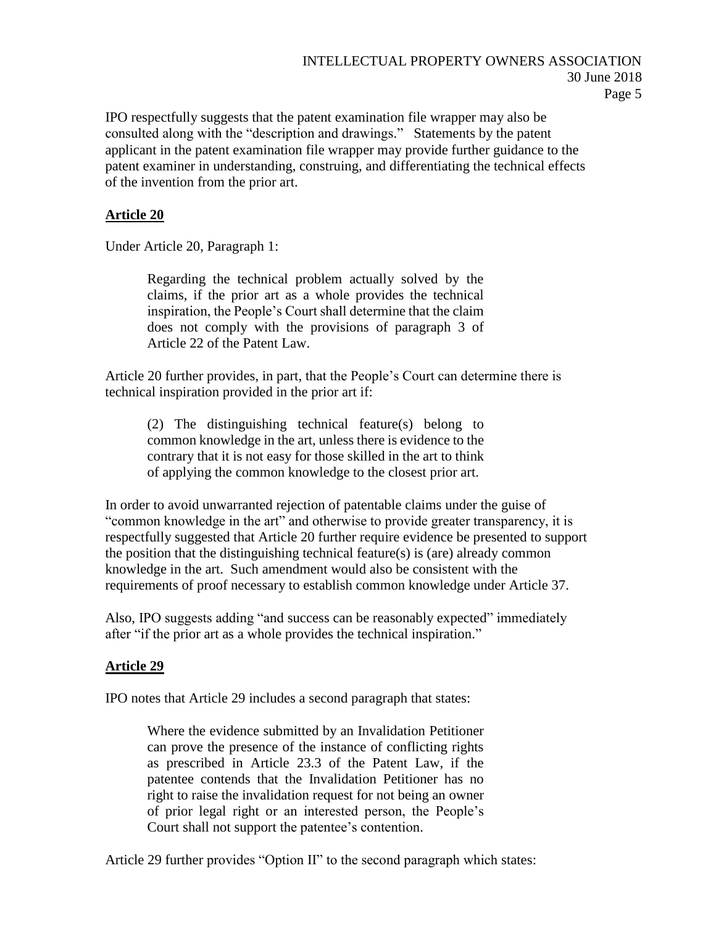IPO respectfully suggests that the patent examination file wrapper may also be consulted along with the "description and drawings." Statements by the patent applicant in the patent examination file wrapper may provide further guidance to the patent examiner in understanding, construing, and differentiating the technical effects of the invention from the prior art.

## **Article 20**

Under Article 20, Paragraph 1:

Regarding the technical problem actually solved by the claims, if the prior art as a whole provides the technical inspiration, the People's Court shall determine that the claim does not comply with the provisions of paragraph 3 of Article 22 of the Patent Law.

Article 20 further provides, in part, that the People's Court can determine there is technical inspiration provided in the prior art if:

(2) The distinguishing technical feature(s) belong to common knowledge in the art, unless there is evidence to the contrary that it is not easy for those skilled in the art to think of applying the common knowledge to the closest prior art.

In order to avoid unwarranted rejection of patentable claims under the guise of "common knowledge in the art" and otherwise to provide greater transparency, it is respectfully suggested that Article 20 further require evidence be presented to support the position that the distinguishing technical feature(s) is (are) already common knowledge in the art. Such amendment would also be consistent with the requirements of proof necessary to establish common knowledge under Article 37.

Also, IPO suggests adding "and success can be reasonably expected" immediately after "if the prior art as a whole provides the technical inspiration."

#### **Article 29**

IPO notes that Article 29 includes a second paragraph that states:

Where the evidence submitted by an Invalidation Petitioner can prove the presence of the instance of conflicting rights as prescribed in Article 23.3 of the Patent Law, if the patentee contends that the Invalidation Petitioner has no right to raise the invalidation request for not being an owner of prior legal right or an interested person, the People's Court shall not support the patentee's contention.

Article 29 further provides "Option II" to the second paragraph which states: